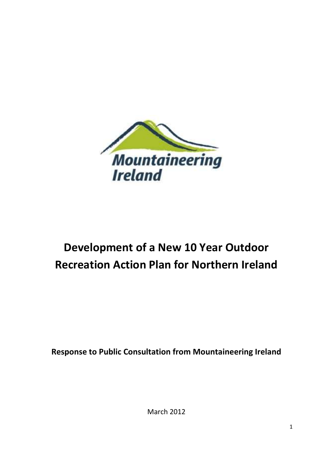

# **Development of a New 10 Year Outdoor Recreation Action Plan for Northern Ireland**

**Response to Public Consultation from Mountaineering Ireland**

March 2012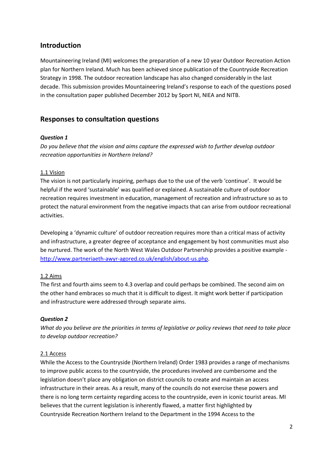# **Introduction**

Mountaineering Ireland (MI) welcomes the preparation of a new 10 year Outdoor Recreation Action plan for Northern Ireland. Much has been achieved since publication of the Countryside Recreation Strategy in 1998. The outdoor recreation landscape has also changed considerably in the last decade. This submission provides Mountaineering Ireland's response to each of the questions posed in the consultation paper published December 2012 by Sport NI, NIEA and NITB.

## **Responses to consultation questions**

### *Question 1*

*Do you believe that the vision and aims capture the expressed wish to further develop outdoor recreation opportunities in Northern Ireland?*

#### 1.1 Vision

The vision is not particularly inspiring, perhaps due to the use of the verb 'continue'. It would be helpful if the word 'sustainable' was qualified or explained. A sustainable culture of outdoor recreation requires investment in education, management of recreation and infrastructure so as to protect the natural environment from the negative impacts that can arise from outdoor recreational activities.

Developing a 'dynamic culture' of outdoor recreation requires more than a critical mass of activity and infrastructure, a greater degree of acceptance and engagement by host communities must also be nurtured. The work of the North West Wales Outdoor Partnership provides a positive example [http://www.partneriaeth-awyr-agored.co.uk/english/about-us.php.](http://www.partneriaeth-awyr-agored.co.uk/english/about-us.php)

### 1.2 Aims

The first and fourth aims seem to 4.3 overlap and could perhaps be combined. The second aim on the other hand embraces so much that it is difficult to digest. It might work better if participation and infrastructure were addressed through separate aims.

### *Question 2*

*What do you believe are the priorities in terms of legislative or policy reviews that need to take place to develop outdoor recreation?*

#### 2.1 Access

While the Access to the Countryside (Northern Ireland) Order 1983 provides a range of mechanisms to improve public access to the countryside, the procedures involved are cumbersome and the legislation doesn't place any obligation on district councils to create and maintain an access infrastructure in their areas. As a result, many of the councils do not exercise these powers and there is no long term certainty regarding access to the countryside, even in iconic tourist areas. MI believes that the current legislation is inherently flawed, a matter first highlighted by Countryside Recreation Northern Ireland to the Department in the 1994 Access to the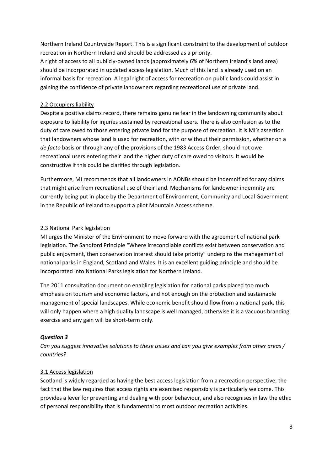Northern Ireland Countryside Report. This is a significant constraint to the development of outdoor recreation in Northern Ireland and should be addressed as a priority.

A right of access to all publicly-owned lands (approximately 6% of Northern Ireland's land area) should be incorporated in updated access legislation. Much of this land is already used on an informal basis for recreation. A legal right of access for recreation on public lands could assist in gaining the confidence of private landowners regarding recreational use of private land.

## 2.2 Occupiers liability

Despite a positive claims record, there remains genuine fear in the landowning community about exposure to liability for injuries sustained by recreational users. There is also confusion as to the duty of care owed to those entering private land for the purpose of recreation. It is MI's assertion that landowners whose land is used for recreation, with or without their permission, whether on a *de facto* basis or through any of the provisions of the 1983 Access Order, should not owe recreational users entering their land the higher duty of care owed to visitors. It would be constructive if this could be clarified through legislation.

Furthermore, MI recommends that all landowners in AONBs should be indemnified for any claims that might arise from recreational use of their land. Mechanisms for landowner indemnity are currently being put in place by the Department of Environment, Community and Local Government in the Republic of Ireland to support a pilot Mountain Access scheme.

## 2.3 National Park legislation

MI urges the Minister of the Environment to move forward with the agreement of national park legislation. The Sandford Principle "Where irreconcilable conflicts exist between conservation and public enjoyment, then conservation interest should take priority" underpins the management of national parks in England, Scotland and Wales. It is an excellent guiding principle and should be incorporated into National Parks legislation for Northern Ireland.

The 2011 consultation document on enabling legislation for national parks placed too much emphasis on tourism and economic factors, and not enough on the protection and sustainable management of special landscapes. While economic benefit should flow from a national park, this will only happen where a high quality landscape is well managed, otherwise it is a vacuous branding exercise and any gain will be short-term only.

## *Question 3*

*Can you suggest innovative solutions to these issues and can you give examples from other areas / countries?*

### 3.1 Access legislation

Scotland is widely regarded as having the best access legislation from a recreation perspective, the fact that the law requires that access rights are exercised responsibly is particularly welcome. This provides a lever for preventing and dealing with poor behaviour, and also recognises in law the ethic of personal responsibility that is fundamental to most outdoor recreation activities.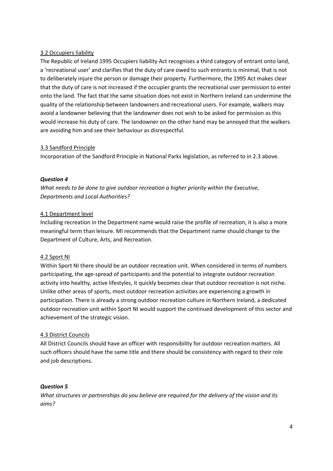## 3.2 Occupiers liability

The Republic of Ireland 1995 Occupiers liability Act recognises a third category of entrant onto land, a 'recreational user' and clarifies that the duty of care owed to such entrants is minimal, that is not to deliberately injure the person or damage their property. Furthermore, the 1995 Act makes clear that the duty of care is not increased if the occupier grants the recreational user permission to enter onto the land. The fact that the same situation does not exist in Northern Ireland can undermine the quality of the relationship between landowners and recreational users. For example, walkers may avoid a landowner believing that the landowner does not wish to be asked for permission as this would increase his duty of care. The landowner on the other hand may be annoyed that the walkers are avoiding him and see their behaviour as disrespectful.

### 3.3 Sandford Principle

Incorporation of the Sandford Principle in National Parks legislation, as referred to in 2.3 above.

### *Question 4*

*What needs to be done to give outdoor recreation a higher priority within the Executive, Departments and Local Authorities?*

## 4.1 Department level

Including recreation in the Department name would raise the profile of recreation, it is also a more meaningful term than leisure. MI recommends that the Department name should change to the Department of Culture, Arts, and Recreation.

### 4.2 Sport NI

Within Sport NI there should be an outdoor recreation unit. When considered in terms of numbers participating, the age-spread of participants and the potential to integrate outdoor recreation activity into healthy, active lifestyles, it quickly becomes clear that outdoor recreation is not niche. Unlike other areas of sports, most outdoor recreation activities are experiencing a growth in participation. There is already a strong outdoor recreation culture in Northern Ireland, a dedicated outdoor recreation unit within Sport NI would support the continued development of this sector and achievement of the strategic vision.

### 4.3 District Councils

All District Councils should have an officer with responsibility for outdoor recreation matters. All such officers should have the same title and there should be consistency with regard to their role and job descriptions.

### *Question 5*

*What structures or partnerships do you believe are required for the delivery of the vision and its aims?*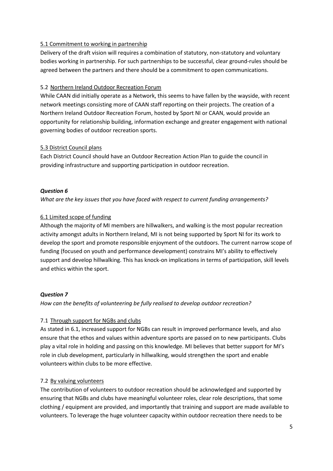#### 5.1 Commitment to working in partnership

Delivery of the draft vision will requires a combination of statutory, non-statutory and voluntary bodies working in partnership. For such partnerships to be successful, clear ground-rules should be agreed between the partners and there should be a commitment to open communications.

#### 5.2 Northern Ireland Outdoor Recreation Forum

While CAAN did initially operate as a Network, this seems to have fallen by the wayside, with recent network meetings consisting more of CAAN staff reporting on their projects. The creation of a Northern Ireland Outdoor Recreation Forum, hosted by Sport NI or CAAN, would provide an opportunity for relationship building, information exchange and greater engagement with national governing bodies of outdoor recreation sports.

#### 5.3 District Council plans

Each District Council should have an Outdoor Recreation Action Plan to guide the council in providing infrastructure and supporting participation in outdoor recreation.

### *Question 6*

*What are the key issues that you have faced with respect to current funding arrangements?*

#### 6.1 Limited scope of funding

Although the majority of MI members are hillwalkers, and walking is the most popular recreation activity amongst adults in Northern Ireland, MI is not being supported by Sport NI for its work to develop the sport and promote responsible enjoyment of the outdoors. The current narrow scope of funding (focused on youth and performance development) constrains MI's ability to effectively support and develop hillwalking. This has knock-on implications in terms of participation, skill levels and ethics within the sport.

#### *Question 7*

*How can the benefits of volunteering be fully realised to develop outdoor recreation?*

### 7.1 Through support for NGBs and clubs

As stated in 6.1, increased support for NGBs can result in improved performance levels, and also ensure that the ethos and values within adventure sports are passed on to new participants. Clubs play a vital role in holding and passing on this knowledge. MI believes that better support for MI's role in club development, particularly in hillwalking, would strengthen the sport and enable volunteers within clubs to be more effective.

### 7.2 By valuing volunteers

The contribution of volunteers to outdoor recreation should be acknowledged and supported by ensuring that NGBs and clubs have meaningful volunteer roles, clear role descriptions, that some clothing / equipment are provided, and importantly that training and support are made available to volunteers. To leverage the huge volunteer capacity within outdoor recreation there needs to be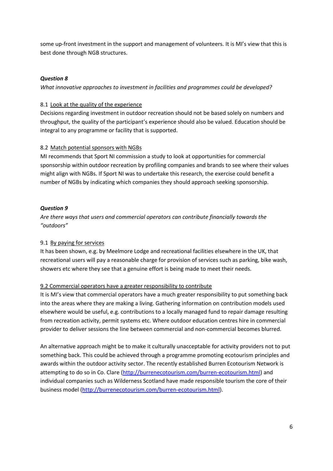some up-front investment in the support and management of volunteers. It is MI's view that this is best done through NGB structures.

### *Question 8*

*What innovative approaches to investment in facilities and programmes could be developed?*

#### 8.1 Look at the quality of the experience

Decisions regarding investment in outdoor recreation should not be based solely on numbers and throughput, the quality of the participant's experience should also be valued. Education should be integral to any programme or facility that is supported.

#### 8.2 Match potential sponsors with NGBs

MI recommends that Sport NI commission a study to look at opportunities for commercial sponsorship within outdoor recreation by profiling companies and brands to see where their values might align with NGBs. If Sport NI was to undertake this research, the exercise could benefit a number of NGBs by indicating which companies they should approach seeking sponsorship.

#### *Question 9*

*Are there ways that users and commercial operators can contribute financially towards the "outdoors"*

### 9.1 By paying for services

It has been shown, e.g. by Meelmore Lodge and recreational facilities elsewhere in the UK, that recreational users will pay a reasonable charge for provision of services such as parking, bike wash, showers etc where they see that a genuine effort is being made to meet their needs.

### 9.2 Commercial operators have a greater responsibility to contribute

It is MI's view that commercial operators have a much greater responsibility to put something back into the areas where they are making a living. Gathering information on contribution models used elsewhere would be useful, e.g. contributions to a locally managed fund to repair damage resulting from recreation activity, permit systems etc. Where outdoor education centres hire in commercial provider to deliver sessions the line between commercial and non-commercial becomes blurred.

An alternative approach might be to make it culturally unacceptable for activity providers not to put something back. This could be achieved through a programme promoting ecotourism principles and awards within the outdoor activity sector. The recently established Burren Ecotourism Network is attempting to do so in Co. Clare [\(http://burrenecotourism.com/burren-ecotourism.html\)](http://burrenecotourism.com/burren-ecotourism.html) and individual companies such as Wilderness Scotland have made responsible tourism the core of their business model [\(http://burrenecotourism.com/burren-ecotourism.html\)](http://burrenecotourism.com/burren-ecotourism.html).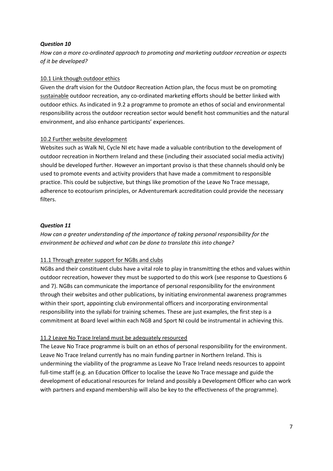#### *Question 10*

*How can a more co-ordinated approach to promoting and marketing outdoor recreation or aspects of it be developed?*

#### 10.1 Link though outdoor ethics

Given the draft vision for the Outdoor Recreation Action plan, the focus must be on promoting sustainable outdoor recreation, any co-ordinated marketing efforts should be better linked with outdoor ethics. As indicated in 9.2 a programme to promote an ethos of social and environmental responsibility across the outdoor recreation sector would benefit host communities and the natural environment, and also enhance participants' experiences.

#### 10.2 Further website development

Websites such as Walk NI, Cycle NI etc have made a valuable contribution to the development of outdoor recreation in Northern Ireland and these (including their associated social media activity) should be developed further. However an important proviso is that these channels should only be used to promote events and activity providers that have made a commitment to responsible practice. This could be subjective, but things like promotion of the Leave No Trace message, adherence to ecotourism principles, or Adventuremark accreditation could provide the necessary filters.

#### *Question 11*

*How can a greater understanding of the importance of taking personal responsibility for the environment be achieved and what can be done to translate this into change?*

### 11.1 Through greater support for NGBs and clubs

NGBs and their constituent clubs have a vital role to play in transmitting the ethos and values within outdoor recreation, however they must be supported to do this work (see response to Questions 6 and 7). NGBs can communicate the importance of personal responsibility for the environment through their websites and other publications, by initiating environmental awareness programmes within their sport, appointing club environmental officers and incorporating environmental responsibility into the syllabi for training schemes. These are just examples, the first step is a commitment at Board level within each NGB and Sport NI could be instrumental in achieving this.

### 11.2 Leave No Trace Ireland must be adequately resourced

The Leave No Trace programme is built on an ethos of personal responsibility for the environment. Leave No Trace Ireland currently has no main funding partner in Northern Ireland. This is undermining the viability of the programme as Leave No Trace Ireland needs resources to appoint full-time staff (e.g. an Education Officer to localise the Leave No Trace message and guide the development of educational resources for Ireland and possibly a Development Officer who can work with partners and expand membership will also be key to the effectiveness of the programme).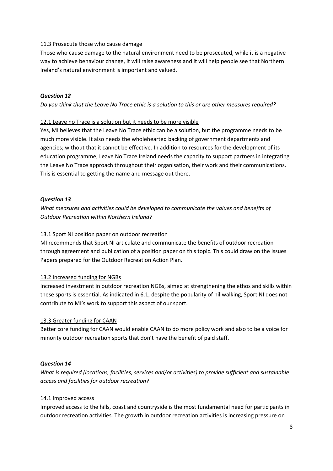#### 11.3 Prosecute those who cause damage

Those who cause damage to the natural environment need to be prosecuted, while it is a negative way to achieve behaviour change, it will raise awareness and it will help people see that Northern Ireland's natural environment is important and valued.

#### *Question 12*

*Do you think that the Leave No Trace ethic is a solution to this or are other measures required?*

#### 12.1 Leave no Trace is a solution but it needs to be more visible

Yes, MI believes that the Leave No Trace ethic can be a solution, but the programme needs to be much more visible. It also needs the wholehearted backing of government departments and agencies; without that it cannot be effective. In addition to resources for the development of its education programme, Leave No Trace Ireland needs the capacity to support partners in integrating the Leave No Trace approach throughout their organisation, their work and their communications. This is essential to getting the name and message out there.

### *Question 13*

*What measures and activities could be developed to communicate the values and benefits of Outdoor Recreation within Northern Ireland?*

#### 13.1 Sport NI position paper on outdoor recreation

MI recommends that Sport NI articulate and communicate the benefits of outdoor recreation through agreement and publication of a position paper on this topic. This could draw on the Issues Papers prepared for the Outdoor Recreation Action Plan.

#### 13.2 Increased funding for NGBs

Increased investment in outdoor recreation NGBs, aimed at strengthening the ethos and skills within these sports is essential. As indicated in 6.1, despite the popularity of hillwalking, Sport NI does not contribute to MI's work to support this aspect of our sport.

### 13.3 Greater funding for CAAN

Better core funding for CAAN would enable CAAN to do more policy work and also to be a voice for minority outdoor recreation sports that don't have the benefit of paid staff.

#### *Question 14*

*What is required (locations, facilities, services and/or activities) to provide sufficient and sustainable access and facilities for outdoor recreation?*

#### 14.1 Improved access

Improved access to the hills, coast and countryside is the most fundamental need for participants in outdoor recreation activities. The growth in outdoor recreation activities is increasing pressure on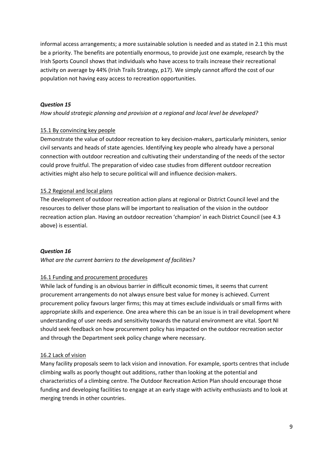informal access arrangements; a more sustainable solution is needed and as stated in 2.1 this must be a priority. The benefits are potentially enormous, to provide just one example, research by the Irish Sports Council shows that individuals who have access to trails increase their recreational activity on average by 44% (Irish Trails Strategy, p17). We simply cannot afford the cost of our population not having easy access to recreation opportunities.

## *Question 15*

*How should strategic planning and provision at a regional and local level be developed?*

### 15.1 By convincing key people

Demonstrate the value of outdoor recreation to key decision-makers, particularly ministers, senior civil servants and heads of state agencies. Identifying key people who already have a personal connection with outdoor recreation and cultivating their understanding of the needs of the sector could prove fruitful. The preparation of video case studies from different outdoor recreation activities might also help to secure political will and influence decision-makers.

### 15.2 Regional and local plans

The development of outdoor recreation action plans at regional or District Council level and the resources to deliver those plans will be important to realisation of the vision in the outdoor recreation action plan. Having an outdoor recreation 'champion' in each District Council (see 4.3 above) is essential.

#### *Question 16*

*What are the current barriers to the development of facilities?*

### 16.1 Funding and procurement procedures

While lack of funding is an obvious barrier in difficult economic times, it seems that current procurement arrangements do not always ensure best value for money is achieved. Current procurement policy favours larger firms; this may at times exclude individuals or small firms with appropriate skills and experience. One area where this can be an issue is in trail development where understanding of user needs and sensitivity towards the natural environment are vital. Sport NI should seek feedback on how procurement policy has impacted on the outdoor recreation sector and through the Department seek policy change where necessary.

#### 16.2 Lack of vision

Many facility proposals seem to lack vision and innovation. For example, sports centres that include climbing walls as poorly thought out additions, rather than looking at the potential and characteristics of a climbing centre. The Outdoor Recreation Action Plan should encourage those funding and developing facilities to engage at an early stage with activity enthusiasts and to look at merging trends in other countries.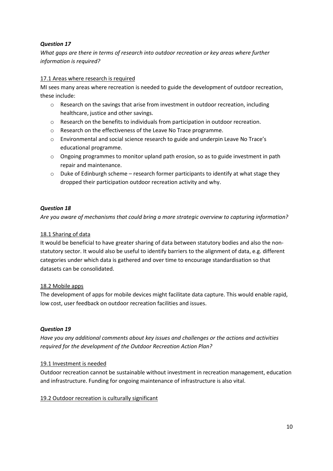## *Question 17*

*What gaps are there in terms of research into outdoor recreation or key areas where further information is required?*

### 17.1 Areas where research is required

MI sees many areas where recreation is needed to guide the development of outdoor recreation, these include:

- $\circ$  Research on the savings that arise from investment in outdoor recreation, including healthcare, justice and other savings.
- o Research on the benefits to individuals from participation in outdoor recreation.
- o Research on the effectiveness of the Leave No Trace programme.
- o Environmental and social science research to guide and underpin Leave No Trace's educational programme.
- $\circ$  Ongoing programmes to monitor upland path erosion, so as to guide investment in path repair and maintenance.
- $\circ$  Duke of Edinburgh scheme research former participants to identify at what stage they dropped their participation outdoor recreation activity and why.

### *Question 18*

*Are you aware of mechanisms that could bring a more strategic overview to capturing information?*

#### 18.1 Sharing of data

It would be beneficial to have greater sharing of data between statutory bodies and also the nonstatutory sector. It would also be useful to identify barriers to the alignment of data, e.g. different categories under which data is gathered and over time to encourage standardisation so that datasets can be consolidated.

### 18.2 Mobile apps

The development of apps for mobile devices might facilitate data capture. This would enable rapid, low cost, user feedback on outdoor recreation facilities and issues.

#### *Question 19*

*Have you any additional comments about key issues and challenges or the actions and activities required for the development of the Outdoor Recreation Action Plan?*

### 19.1 Investment is needed

Outdoor recreation cannot be sustainable without investment in recreation management, education and infrastructure. Funding for ongoing maintenance of infrastructure is also vital.

### 19.2 Outdoor recreation is culturally significant